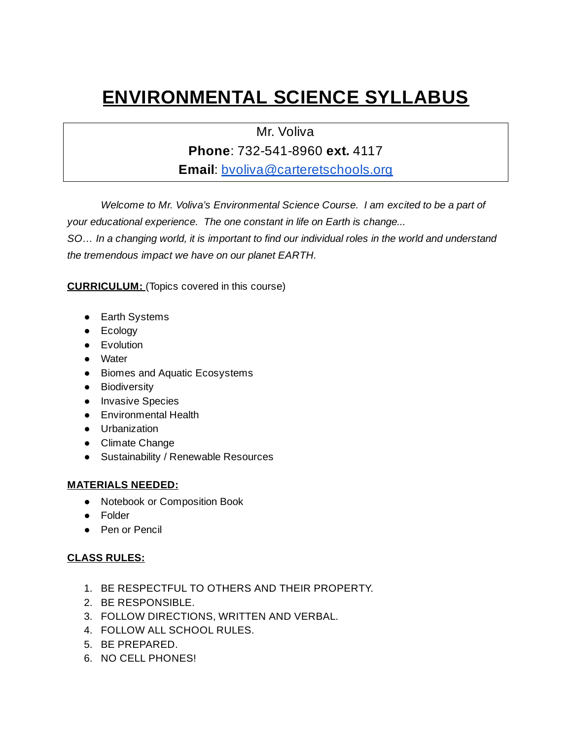## **ENVIRONMENTAL SCIENCE SYLLABUS**

Mr. Voliva

**Phone**: 732-541-8960 **ext.** 4117

**Email**[:](http://bvoliva@carteretschools.org/) [bvoliva@carteretschools.org](http://bvoliva@carteretschools.org/)

*Welcome to Mr. Voliva's Environmental Science Course. I am excited to be a part of your educational experience. The one constant in life on Earth is change...*

*SO… In a changing world, it is important to find our individual roles in the world and understand the tremendous impact we have on our planet EARTH.*

**CURRICULUM:** (Topics covered in this course)

- Earth Systems
- Ecology
- Evolution
- Water
- Biomes and Aquatic Ecosystems
- **•** Biodiversity
- Invasive Species
- Environmental Health
- Urbanization
- Climate Change
- Sustainability / Renewable Resources

## **MATERIALS NEEDED:**

- Notebook or Composition Book
- Folder
- Pen or Pencil

## **CLASS RULES:**

- 1. BE RESPECTFUL TO OTHERS AND THEIR PROPERTY.
- 2. BE RESPONSIBLE.
- 3. FOLLOW DIRECTIONS, WRITTEN AND VERBAL.
- 4. FOLLOW ALL SCHOOL RULES.
- 5. BE PREPARED.
- 6. NO CELL PHONES!